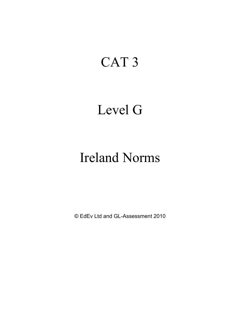# CAT 3

### Level G

# Ireland Norms

© EdEv Ltd and GL-Assessment 2010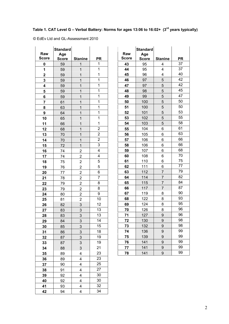### **Table 1. CAT Level G – Verbal Battery: Norms for ages 13:06 to 16:02+ (3rd years typically)**

© EdEv Ltd and GL-Assessment 2010

| Raw          | <b>Standard</b><br>Age |                         |                |
|--------------|------------------------|-------------------------|----------------|
| <b>Score</b> | <b>Score</b>           | <b>Stanine</b>          | <b>PR</b>      |
| 0            | 59                     | $\overline{1}$          | 1              |
| 1            | 59                     | $\mathbf{1}$            | 1              |
| $\mathbf 2$  | 59                     | 1                       | 1              |
| 3            | 59                     | 1                       | $\mathbf{1}$   |
| 4            | 59                     | $\mathbf{1}$            | 1              |
| 5            | 59                     | $\overline{1}$          | 1              |
| 6            | 59                     | $\mathbf{1}$            | $\mathbf{1}$   |
| 7            | 61                     | $\overline{1}$          | 1              |
| 8            | 63                     | $\overline{1}$          | 1              |
| 9            | 64                     | 1                       | $\overline{1}$ |
| 10           | 65                     | $\overline{1}$          | $\overline{1}$ |
| 11           | 66                     | $\overline{1}$          | 1              |
| 12           | 68                     | 1                       | $\overline{c}$ |
| 13           | 70                     | 1                       | 2              |
| 14           | 70                     | $\mathbf{1}$            | $\overline{2}$ |
| 15           | 72                     | $\overline{1}$          | 3              |
| 16           | 74                     | $\overline{c}$          | 4              |
| 17           | 74                     | $\overline{\mathbf{c}}$ | 4              |
| 18           | 75                     | $\overline{\mathbf{c}}$ | 5              |
| 19           | 76                     | $\overline{c}$          | 5              |
| 20           | 77                     | $\overline{c}$          | 6              |
| 21           | 78                     | $\overline{c}$          | $\overline{7}$ |
| 22           | 79                     | $\overline{c}$          | 8              |
| 23           | 79                     | 2                       | 8              |
| 24           | 80                     | $\overline{\mathbf{c}}$ | 9              |
| 25           | 81                     | $\overline{\mathbf{c}}$ | 10             |
| 26           | 82                     | 3                       | 12             |
| 27           | 83                     | 3                       | 13             |
| 28           | 83                     | 3                       | 13             |
| 29           | 84                     | 3                       | 14             |
| 30           | 85                     | 3                       | 15             |
| 31           | 86                     | 3                       | 18             |
| 32           | 87                     | 3                       | 19             |
| 33           | 87                     | 3                       | 19             |
| 34           | 88                     | 3                       | 21             |
| 35           | 89                     | 4                       | 23             |
| 36           | 89                     | 4                       | 23             |
| 37           | 90                     | 4                       | 25             |
| 38           | 91                     | 4                       | 27             |
| 39           | 92                     | 4                       | 30             |
| 40           | 92                     | 4                       | 30             |
| 41           | 93                     | 4                       | 32             |
| 42           | 94                     | 4                       | 34             |

|              | <b>Standard</b> |                |                 |
|--------------|-----------------|----------------|-----------------|
| Raw          | Age             |                |                 |
| <b>Score</b> | <b>Score</b>    | <b>Stanine</b> | PR              |
| 43           | 95              | 4              | 37              |
| 44           | 95              | 4              | $\overline{37}$ |
| 45           | 96              | 4              | 40              |
| 46           | 97              | 5              | 42              |
| 47           | 97              | 5              | 42              |
| 48           | 98              | 5              | 45              |
| 49           | 99              | 5              | 47              |
| 50           | 100             | 5              | 50              |
| 51           | 100             | 5              | 50              |
| 52           | 101             | 5              | 53              |
| 53           | 102             | 5              | 55              |
| 54           | 103             | 5              | 58              |
| 55           | 104             | 6              | 61              |
| 56           | 105             | 6              | 63              |
| 57           | 106             | 6              | 66              |
| 58           | 106             | 6              | 66              |
| 59           | 107             | 6              | 68              |
| 60           | 108             | 6              | 70              |
| 61           | 110             | 6              | 75              |
| 62           | 111             | 6              | 77              |
| 63           | 112             | 7              | 79              |
| 64           | 114             | 7              | 82              |
| 65           | 115             | 7              | 84              |
| 66           | 117             | 7              | 87              |
| 67           | 119             | 8              | 90              |
| 68           | 122             | 8              | 93              |
| 69           | 124             | 8              | 95              |
| 70           | 126             | 8              | 96              |
| 71           | 127             | 9              | 96              |
| 72           | 130             | 9              | 98              |
| 73           | 132             | 9              | 98              |
| 74           | 136             | 9              | 99              |
| 75           | 139             | 9              | 99              |
| 76           | 141             | 9              | 99              |
| 77           | 141             | 9              | 99              |
| 78           | 141             | 9              | 99              |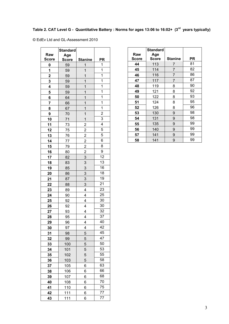#### **Table 2. CAT Level G - Quantitative Battery : Norms for ages 13:06 to 16:02+ (3rd years typically)**

© EdEv Ltd and GL-Assessment 2010

|                             | <b>Standard</b> |                                  |                         |
|-----------------------------|-----------------|----------------------------------|-------------------------|
| Raw                         | Age             |                                  |                         |
| <b>Score</b><br>$\mathbf 0$ | <b>Score</b>    | <b>Stanine</b><br>$\overline{1}$ | <b>PR</b><br>1          |
| 1                           | 59              | $\mathbf{1}$                     | $\mathbf 1$             |
|                             | 59              |                                  | $\overline{1}$          |
| $\overline{2}$              | 59              | 1<br>1                           | $\mathbf{1}$            |
| 3<br>4                      | 59<br>59        | 1                                | 1                       |
|                             | 59              | $\overline{1}$                   | 1                       |
| 5<br>6                      | 64              | 1                                | $\mathbf 1$             |
| $\overline{\mathbf{r}}$     | 66              | $\overline{1}$                   | $\overline{\mathbf{1}}$ |
| 8                           | 67              | $\mathbf{1}$                     | $\mathbf{1}$            |
| 9                           | 70              | $\mathbf{1}$                     | $\overline{\mathbf{c}}$ |
| 10                          | 71              | $\overline{1}$                   | 3                       |
| 11                          | 73              | $\overline{\mathbf{c}}$          | $\overline{4}$          |
| 12                          | 75              | $\overline{2}$                   | $\overline{5}$          |
| 13                          | 76              | $\overline{\mathbf{c}}$          | 5                       |
| 14                          | 77              | $\overline{2}$                   | 6                       |
| 15                          | 79              | $\overline{2}$                   | 8                       |
| 16                          | 80              | $\overline{\mathbf{c}}$          | 9                       |
| 17                          | 82              | $\overline{3}$                   | 12                      |
| 18                          | 83              | 3                                | 13                      |
| 19                          | 85              | 3                                | 16                      |
| 20                          | 86              | $\overline{3}$                   | 18                      |
| 21                          | 87              | 3                                | 19                      |
| 22                          | 88              | 3                                | 21                      |
| 23                          | 89              | 4                                | 23                      |
| 24                          | 90              | 4                                | 25                      |
| 25                          | 92              | 4                                | 30                      |
| 26                          | 92              | 4                                | 30                      |
| 27                          | 93              | 4                                | 32                      |
| 28                          | 95              | 4                                | 37                      |
| 29                          | 96              | 4                                | 40                      |
| 30                          | 97              | 4                                | 42                      |
| 31                          | 98              | 5                                | 45                      |
| 32                          | 99              | 5                                | 47                      |
| 33                          | 100             | 5                                | 50                      |
| 34                          | 101             | 5                                | 53                      |
| 35                          | 102             | 5                                | 55                      |
| 36                          | 103             | 5                                | 58                      |
| 37                          | 105             | 6                                | 63                      |
| 38                          | 106             | 6                                | 66                      |
| 39                          | 107             | 6                                | 68                      |
| 40                          | 108             | 6                                | 70                      |
| 41                          | 110             | 6                                | 75                      |
| 42                          | 111             | 6                                | 77                      |
| 43                          | 111             | 6                                | 77                      |

| Raw<br><b>Score</b> | <b>Standard</b><br>Age<br><b>Score</b> | <b>Stanine</b> | PR |
|---------------------|----------------------------------------|----------------|----|
| 44                  | 113                                    | 7              | 81 |
| 45                  | 114                                    | 7              | 82 |
| 46                  | 116                                    | 7              | 86 |
| 47                  | 117                                    | 7              | 87 |
| 48                  | 119                                    | 8              | 90 |
| 49                  | 121                                    | 8              | 92 |
| 50                  | 122                                    | 8              | 93 |
| 51                  | 124                                    | 8              | 95 |
| 52                  | 126                                    | 8              | 96 |
| 53                  | 130                                    | 9              | 98 |
| 54                  | 131                                    | 9              | 98 |
| 55                  | 135                                    | 9              | 99 |
| 56                  | 140                                    | 9              | 99 |
| 57                  | 141                                    | 9              | 99 |
| 58                  | 141                                    | 9              | 99 |